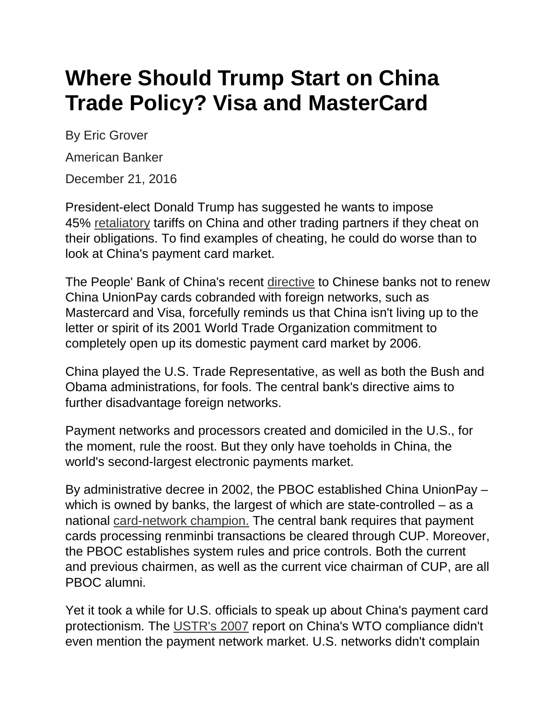## **Where Should Trump Start on China Trade Policy? Visa and MasterCard**

By Eric Grover

American Banker

December 21, 2016

President-elect Donald Trump has suggested he wants to impose 45% [retaliatory](http://www.latimes.com/opinion/op-ed/la-oe-navarro-trump-trade-china-tariffs-20160721-snap-story.html) tariffs on China and other trading partners if they cheat on their obligations. To find examples of cheating, he could do worse than to look at China's payment card market.

The People' Bank of China's recent [directive](https://www.ft.com/content/1f26b75c-bac2-11e6-8b45-b8b81dd5d080) to Chinese banks not to renew China UnionPay cards cobranded with foreign networks, such as Mastercard and Visa, forcefully reminds us that China isn't living up to the letter or spirit of its 2001 World Trade Organization commitment to completely open up its domestic payment card market by 2006.

China played the U.S. Trade Representative, as well as both the Bush and Obama administrations, for fools. The central bank's directive aims to further disadvantage foreign networks.

Payment networks and processors created and domiciled in the U.S., for the moment, rule the roost. But they only have toeholds in China, the world's second-largest electronic payments market.

By administrative decree in 2002, the PBOC established China UnionPay – which is owned by banks, the largest of which are state-controlled – as a national [card-network champion.](https://www.paymentssource.com/opinion/mastercard-and-visa-will-stuggle-in-china) The central bank requires that payment cards processing renminbi transactions be cleared through CUP. Moreover, the PBOC establishes system rules and price controls. Both the current and previous chairmen, as well as the current vice chairman of CUP, are all PBOC alumni.

Yet it took a while for U.S. officials to speak up about China's payment card protectionism. The [USTR's 2007](https://ustr.gov/sites/default/files/asset_upload_file625_13692.pdf) report on China's WTO compliance didn't even mention the payment network market. U.S. networks didn't complain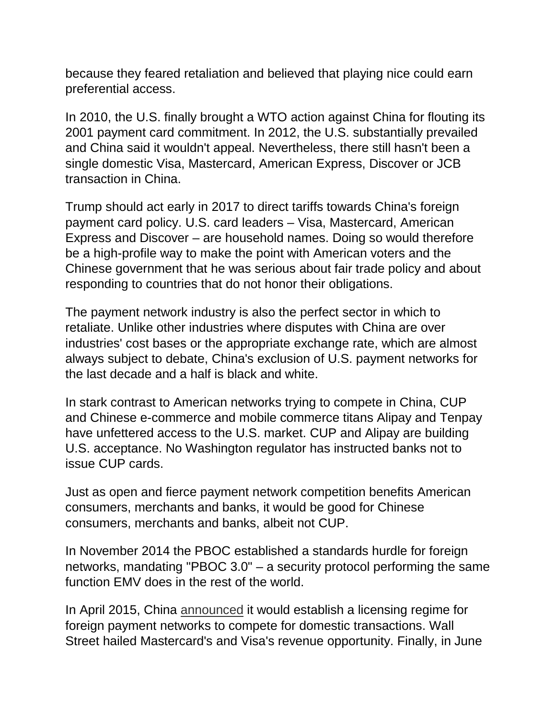because they feared retaliation and believed that playing nice could earn preferential access.

In 2010, the U.S. finally brought a WTO action against China for flouting its 2001 payment card commitment. In 2012, the U.S. substantially prevailed and China said it wouldn't appeal. Nevertheless, there still hasn't been a single domestic Visa, Mastercard, American Express, Discover or JCB transaction in China.

Trump should act early in 2017 to direct tariffs towards China's foreign payment card policy. U.S. card leaders – Visa, Mastercard, American Express and Discover – are household names. Doing so would therefore be a high-profile way to make the point with American voters and the Chinese government that he was serious about fair trade policy and about responding to countries that do not honor their obligations.

The payment network industry is also the perfect sector in which to retaliate. Unlike other industries where disputes with China are over industries' cost bases or the appropriate exchange rate, which are almost always subject to debate, China's exclusion of U.S. payment networks for the last decade and a half is black and white.

In stark contrast to American networks trying to compete in China, CUP and Chinese e-commerce and mobile commerce titans Alipay and Tenpay have unfettered access to the U.S. market. CUP and Alipay are building U.S. acceptance. No Washington regulator has instructed banks not to issue CUP cards.

Just as open and fierce payment network competition benefits American consumers, merchants and banks, it would be good for Chinese consumers, merchants and banks, albeit not CUP.

In November 2014 the PBOC established a standards hurdle for foreign networks, mandating "PBOC 3.0" – a security protocol performing the same function EMV does in the rest of the world.

In April 2015, China [announced](http://www.reuters.com/article/china-banking-services-idUSL4N0XJ28E20150422) it would establish a licensing regime for foreign payment networks to compete for domestic transactions. Wall Street hailed Mastercard's and Visa's revenue opportunity. Finally, in June